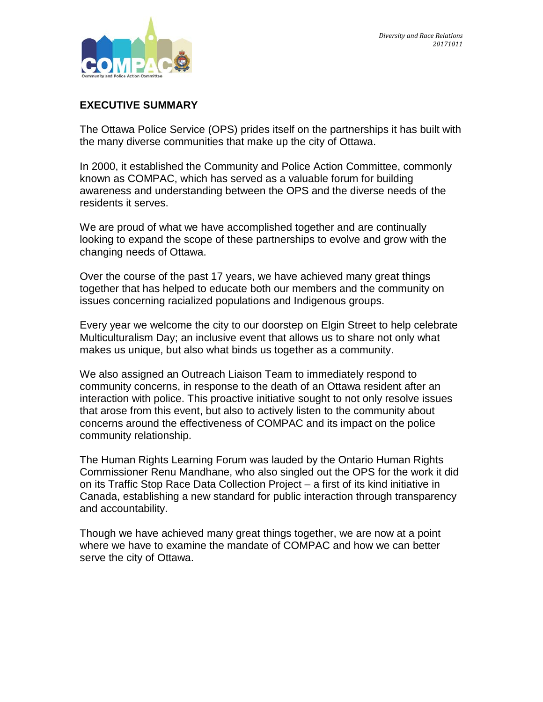### **EXECUTIVE SUMMARY**

The Ottawa Police Service (OPS) prides itself on the partnerships it has built with the many diverse communities that make up the city of Ottawa.

In 2000, it established the Community and Police Action Committee, commonly known as COMPAC, which has served as a valuable forum for building awareness and understanding between the OPS and the diverse needs of the residents it serves.

We are proud of what we have accomplished together and are continually looking to expand the scope of these partnerships to evolve and grow with the changing needs of Ottawa.

Over the course of the past 17 years, we have achieved many great things together that has helped to educate both our members and the community on issues concerning racialized populations and Indigenous groups.

Every year we welcome the city to our doorstep on Elgin Street to help celebrate Multiculturalism Day; an inclusive event that allows us to share not only what makes us unique, but also what binds us together as a community.

We also assigned an Outreach Liaison Team to immediately respond to community concerns, in response to the death of an Ottawa resident after an interaction with police. This proactive initiative sought to not only resolve issues that arose from this event, but also to actively listen to the community about concerns around the effectiveness of COMPAC and its impact on the police community relationship.

The Human Rights Learning Forum was lauded by the Ontario Human Rights Commissioner Renu Mandhane, who also singled out the OPS for the work it did on its Traffic Stop Race Data Collection Project – a first of its kind initiative in Canada, establishing a new standard for public interaction through transparency and accountability.

Though we have achieved many great things together, we are now at a point where we have to examine the mandate of COMPAC and how we can better serve the city of Ottawa.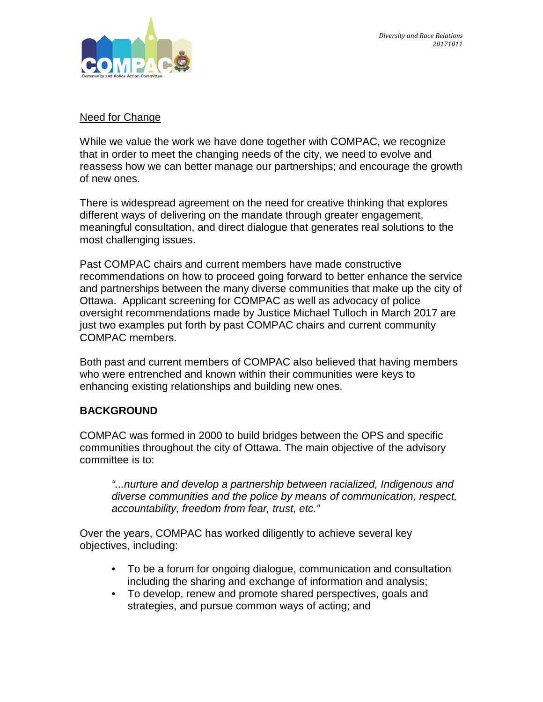

#### Need for Change

While we value the work we have done together with COMPAC, we recognize that in order to meet the changing needs of the city, we need to evolve and reassess how we can better manage our partnerships; and encourage the growth of new ones.

There is widespread agreement on the need for creative thinking that explores different ways of delivering on the mandate through greater engagement, meaningful consultation, and direct dialogue that generates real solutions to the most challenging issues.

Past COMPAC chairs and current members have made constructive recommendations on how to proceed going forward to better enhance the service and partnerships between the many diverse communities that make up the city of Ottawa. Applicant screening for COMPAC as well as advocacy of police oversight recommendations made by Justice Michael Tulloch in March 2017 are just two examples put forth by past COMPAC chairs and current community COMPAC members.

Both past and current members of COMPAC also believed that having members who were entrenched and known within their communities were keys to enhancing existing relationships and building new ones.

# **BACKGROUND**

COMPAC was formed in 2000 to build bridges between the OPS and specific communities throughout the city of Ottawa. The main objective of the advisory committee is to:

*"...nurture and develop a partnership between racialized, Indigenous and diverse communities and the police by means of communication, respect, accountability, freedom from fear, trust, etc."* 

Over the years, COMPAC has worked diligently to achieve several key objectives, including:

- To be a forum for ongoing dialogue, communication and consultation including the sharing and exchange of information and analysis;
- To develop, renew and promote shared perspectives, goals and strategies, and pursue common ways of acting; and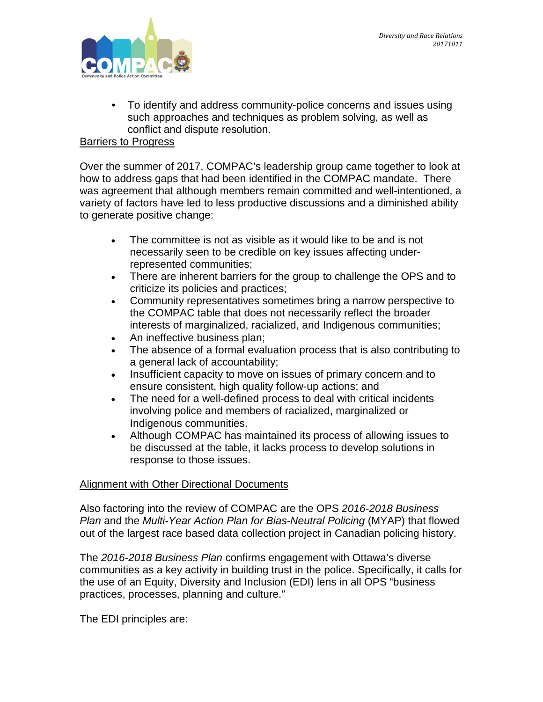

• To identify and address community-police concerns and issues using such approaches and techniques as problem solving, as well as conflict and dispute resolution.

### Barriers to Progress

Over the summer of 2017, COMPAC's leadership group came together to look at how to address gaps that had been identified in the COMPAC mandate. There was agreement that although members remain committed and well-intentioned, a variety of factors have led to less productive discussions and a diminished ability to generate positive change:

- The committee is not as visible as it would like to be and is not necessarily seen to be credible on key issues affecting underrepresented communities;
- There are inherent barriers for the group to challenge the OPS and to criticize its policies and practices;
- Community representatives sometimes bring a narrow perspective to the COMPAC table that does not necessarily reflect the broader interests of marginalized, racialized, and Indigenous communities;
- An ineffective business plan;
- The absence of a formal evaluation process that is also contributing to a general lack of accountability;
- Insufficient capacity to move on issues of primary concern and to ensure consistent, high quality follow-up actions; and
- The need for a well-defined process to deal with critical incidents involving police and members of racialized, marginalized or Indigenous communities.
- Although COMPAC has maintained its process of allowing issues to be discussed at the table, it lacks process to develop solutions in response to those issues.

#### Alignment with Other Directional Documents

Also factoring into the review of COMPAC are the OPS *2016-2018 Business Plan* and the *Multi-Year Action Plan for Bias-Neutral Policing* (MYAP) that flowed out of the largest race based data collection project in Canadian policing history.

The *2016-2018 Business Plan* confirms engagement with Ottawa's diverse communities as a key activity in building trust in the police. Specifically, it calls for the use of an Equity, Diversity and Inclusion (EDI) lens in all OPS "business practices, processes, planning and culture."

The EDI principles are: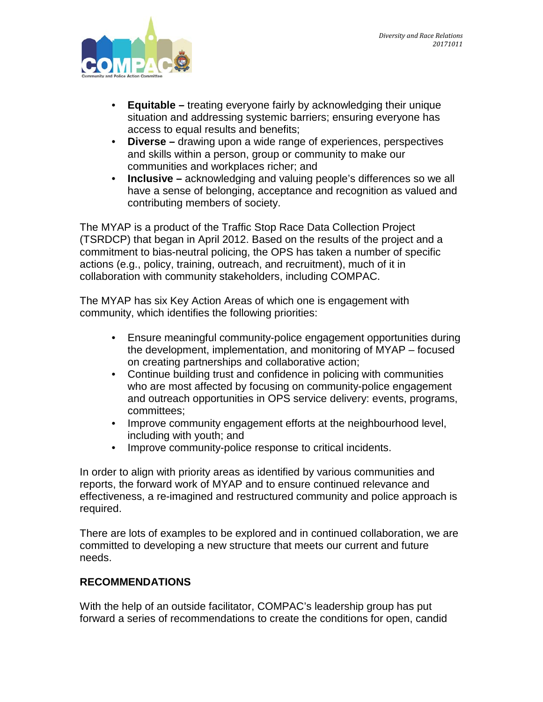

- **Equitable** *–* treating everyone fairly by acknowledging their unique situation and addressing systemic barriers; ensuring everyone has access to equal results and benefits;
- **Diverse** *–* drawing upon a wide range of experiences, perspectives and skills within a person, group or community to make our communities and workplaces richer; and
- **Inclusive** acknowledging and valuing people's differences so we all have a sense of belonging, acceptance and recognition as valued and contributing members of society.

The MYAP is a product of the Traffic Stop Race Data Collection Project (TSRDCP) that began in April 2012. Based on the results of the project and a commitment to bias-neutral policing, the OPS has taken a number of specific actions (e.g., policy, training, outreach, and recruitment), much of it in collaboration with community stakeholders, including COMPAC.

The MYAP has six Key Action Areas of which one is engagement with community, which identifies the following priorities:

- Ensure meaningful community-police engagement opportunities during the development, implementation, and monitoring of MYAP – focused on creating partnerships and collaborative action;
- Continue building trust and confidence in policing with communities who are most affected by focusing on community-police engagement and outreach opportunities in OPS service delivery: events, programs, committees;
- Improve community engagement efforts at the neighbourhood level, including with youth; and
- Improve community-police response to critical incidents.

In order to align with priority areas as identified by various communities and reports, the forward work of MYAP and to ensure continued relevance and effectiveness, a re-imagined and restructured community and police approach is required.

There are lots of examples to be explored and in continued collaboration, we are committed to developing a new structure that meets our current and future needs.

### **RECOMMENDATIONS**

With the help of an outside facilitator, COMPAC's leadership group has put forward a series of recommendations to create the conditions for open, candid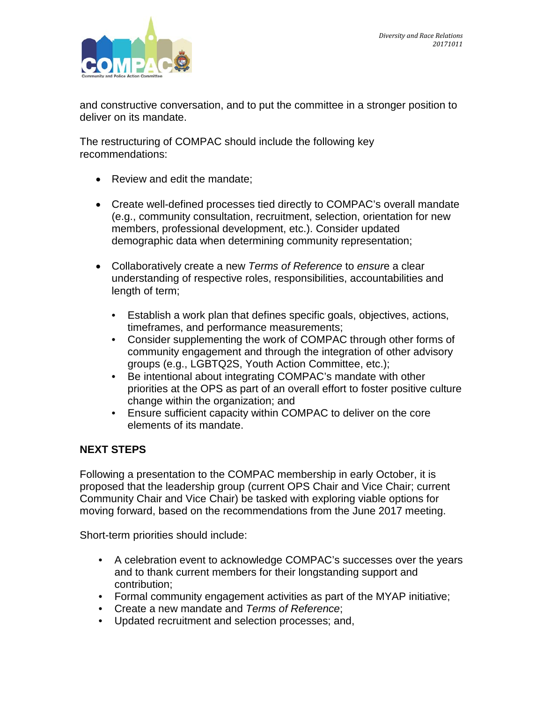

and constructive conversation, and to put the committee in a stronger position to deliver on its mandate.

The restructuring of COMPAC should include the following key recommendations:

- Review and edit the mandate;
- Create well-defined processes tied directly to COMPAC's overall mandate (e.g., community consultation, recruitment, selection, orientation for new members, professional development, etc.). Consider updated demographic data when determining community representation;
- Collaboratively create a new *Terms of Reference* to *ensur*e a clear understanding of respective roles, responsibilities, accountabilities and length of term;
	- Establish a work plan that defines specific goals, objectives, actions, timeframes, and performance measurements;
	- Consider supplementing the work of COMPAC through other forms of community engagement and through the integration of other advisory groups (e.g., LGBTQ2S, Youth Action Committee, etc.);
	- Be intentional about integrating COMPAC's mandate with other priorities at the OPS as part of an overall effort to foster positive culture change within the organization; and
	- Ensure sufficient capacity within COMPAC to deliver on the core elements of its mandate.

# **NEXT STEPS**

Following a presentation to the COMPAC membership in early October, it is proposed that the leadership group (current OPS Chair and Vice Chair; current Community Chair and Vice Chair) be tasked with exploring viable options for moving forward, based on the recommendations from the June 2017 meeting.

Short-term priorities should include:

- A celebration event to acknowledge COMPAC's successes over the years and to thank current members for their longstanding support and contribution;
- Formal community engagement activities as part of the MYAP initiative;
- Create a new mandate and *Terms of Reference*;
- Updated recruitment and selection processes; and,